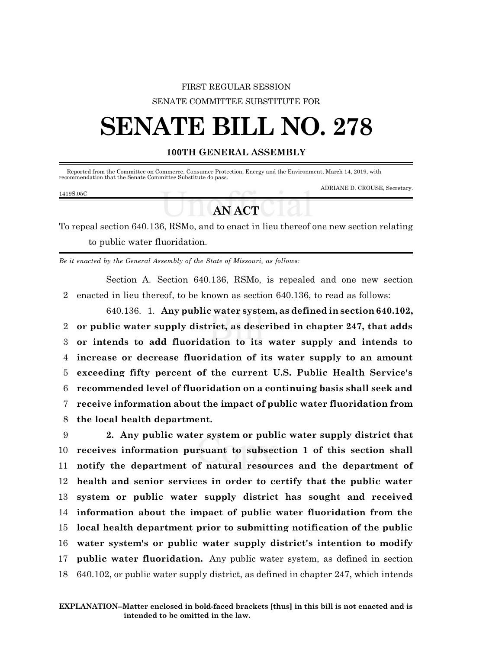## FIRST REGULAR SESSION SENATE COMMITTEE SUBSTITUTE FOR

# **SENATE BILL NO. 278**

### **100TH GENERAL ASSEMBLY**

Reported from the Committee on Commerce, Consumer Protection, Energy and the Environment, March 14, 2019, with recommendation that the Senate Committee Substitute do pass.

#### 1419S.05C

ADRIANE D. CROUSE, Secretary.

## **AN ACT**

To repeal section 640.136, RSMo, and to enact in lieu thereof one new section relating to public water fluoridation.

*Be it enacted by the General Assembly of the State of Missouri, as follows:*

Section A. Section 640.136, RSMo, is repealed and one new section 2 enacted in lieu thereof, to be known as section 640.136, to read as follows:

640.136. 1. **Any public water system, as defined in section 640.102, or public water supply district, as described in chapter 247, that adds or intends to add fluoridation to its water supply and intends to increase or decrease fluoridation of its water supply to an amount exceeding fifty percent of the current U.S. Public Health Service's recommended level of fluoridation on a continuing basis shall seek and receive information about the impact of public water fluoridation from the local health department.**

 **2. Any public water system or public water supply district that receives information pursuant to subsection 1 of this section shall notify the department of natural resources and the department of health and senior services in order to certify that the public water system or public water supply district has sought and received information about the impact of public water fluoridation from the local health department prior to submitting notification of the public water system's or public water supply district's intention to modify public water fluoridation.** Any public water system, as defined in section 640.102, or public water supply district, as defined in chapter 247, which intends